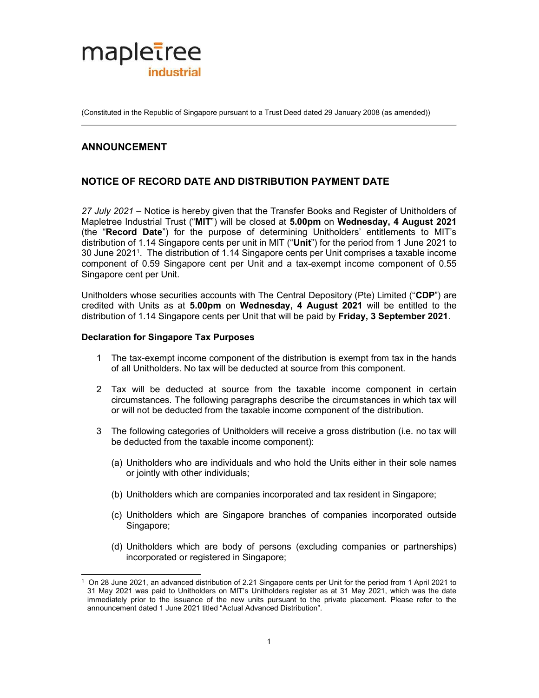

(Constituted in the Republic of Singapore pursuant to a Trust Deed dated 29 January 2008 (as amended))

# ANNOUNCEMENT

## NOTICE OF RECORD DATE AND DISTRIBUTION PAYMENT DATE

27 July 2021 – Notice is hereby given that the Transfer Books and Register of Unitholders of Mapletree Industrial Trust ("MIT") will be closed at 5.00pm on Wednesday, 4 August 2021 (the "Record Date") for the purpose of determining Unitholders' entitlements to MIT's distribution of 1.14 Singapore cents per unit in MIT ("Unit") for the period from 1 June 2021 to 30 June 2021<sup>1</sup> . The distribution of 1.14 Singapore cents per Unit comprises a taxable income component of 0.59 Singapore cent per Unit and a tax-exempt income component of 0.55 Singapore cent per Unit.

Unitholders whose securities accounts with The Central Depository (Pte) Limited ("CDP") are credited with Units as at 5.00pm on Wednesday, 4 August 2021 will be entitled to the distribution of 1.14 Singapore cents per Unit that will be paid by Friday, 3 September 2021.

### Declaration for Singapore Tax Purposes

- 1 The tax-exempt income component of the distribution is exempt from tax in the hands of all Unitholders. No tax will be deducted at source from this component.
- 2 Tax will be deducted at source from the taxable income component in certain circumstances. The following paragraphs describe the circumstances in which tax will or will not be deducted from the taxable income component of the distribution.
- 3 The following categories of Unitholders will receive a gross distribution (i.e. no tax will be deducted from the taxable income component):
	- (a) Unitholders who are individuals and who hold the Units either in their sole names or jointly with other individuals;
	- (b) Unitholders which are companies incorporated and tax resident in Singapore;
	- (c) Unitholders which are Singapore branches of companies incorporated outside Singapore;
	- (d) Unitholders which are body of persons (excluding companies or partnerships) incorporated or registered in Singapore;

 1 On 28 June 2021, an advanced distribution of 2.21 Singapore cents per Unit for the period from 1 April 2021 to 31 May 2021 was paid to Unitholders on MIT's Unitholders register as at 31 May 2021, which was the date immediately prior to the issuance of the new units pursuant to the private placement. Please refer to the announcement dated 1 June 2021 titled "Actual Advanced Distribution".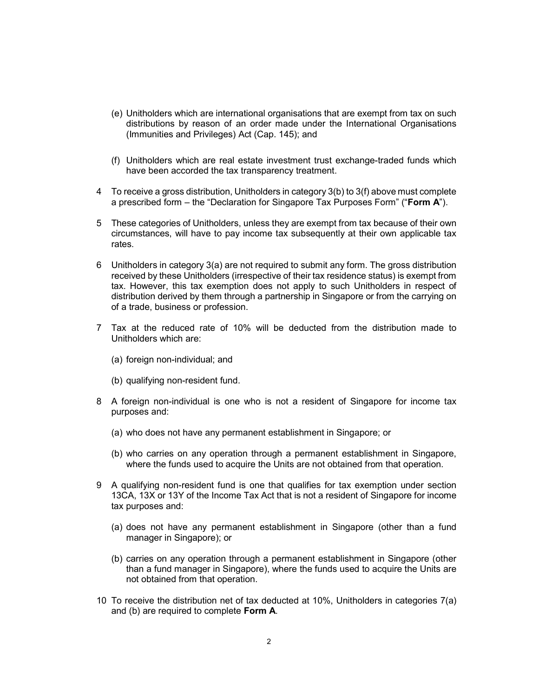- (e) Unitholders which are international organisations that are exempt from tax on such distributions by reason of an order made under the International Organisations (Immunities and Privileges) Act (Cap. 145); and
- (f) Unitholders which are real estate investment trust exchange-traded funds which have been accorded the tax transparency treatment.
- 4 To receive a gross distribution, Unitholders in category 3(b) to 3(f) above must complete a prescribed form – the "Declaration for Singapore Tax Purposes Form" ("Form  $A$ ").
- 5 These categories of Unitholders, unless they are exempt from tax because of their own circumstances, will have to pay income tax subsequently at their own applicable tax rates.
- 6 Unitholders in category 3(a) are not required to submit any form. The gross distribution received by these Unitholders (irrespective of their tax residence status) is exempt from tax. However, this tax exemption does not apply to such Unitholders in respect of distribution derived by them through a partnership in Singapore or from the carrying on of a trade, business or profession.
- 7 Tax at the reduced rate of 10% will be deducted from the distribution made to Unitholders which are:
	- (a) foreign non-individual; and
	- (b) qualifying non-resident fund.
- 8 A foreign non-individual is one who is not a resident of Singapore for income tax purposes and:
	- (a) who does not have any permanent establishment in Singapore; or
	- (b) who carries on any operation through a permanent establishment in Singapore, where the funds used to acquire the Units are not obtained from that operation.
- 9 A qualifying non-resident fund is one that qualifies for tax exemption under section 13CA, 13X or 13Y of the Income Tax Act that is not a resident of Singapore for income tax purposes and:
	- (a) does not have any permanent establishment in Singapore (other than a fund manager in Singapore); or
	- (b) carries on any operation through a permanent establishment in Singapore (other than a fund manager in Singapore), where the funds used to acquire the Units are not obtained from that operation.
- 10 To receive the distribution net of tax deducted at 10%, Unitholders in categories 7(a) and (b) are required to complete Form A.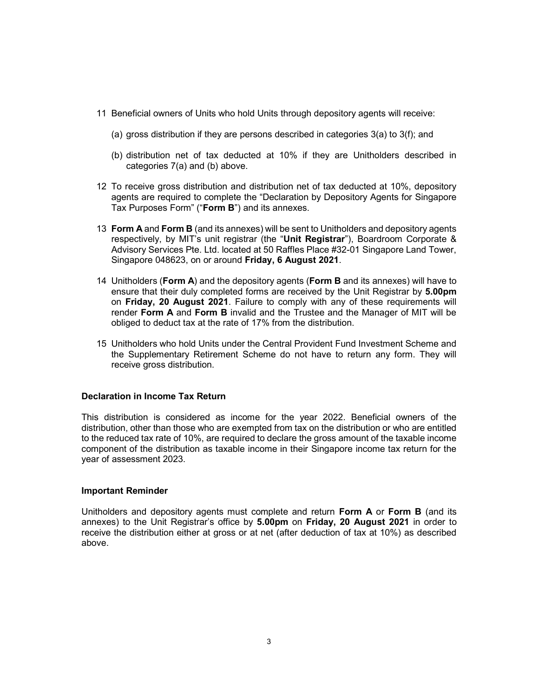- 11 Beneficial owners of Units who hold Units through depository agents will receive:
	- (a) gross distribution if they are persons described in categories 3(a) to 3(f); and
	- (b) distribution net of tax deducted at 10% if they are Unitholders described in categories 7(a) and (b) above.
- 12 To receive gross distribution and distribution net of tax deducted at 10%, depository agents are required to complete the "Declaration by Depository Agents for Singapore Tax Purposes Form" ("Form B") and its annexes.
- 13 Form A and Form B (and its annexes) will be sent to Unitholders and depository agents respectively, by MIT's unit registrar (the "Unit Registrar"), Boardroom Corporate & Advisory Services Pte. Ltd. located at 50 Raffles Place #32-01 Singapore Land Tower, Singapore 048623, on or around Friday, 6 August 2021.
- 14 Unitholders (Form A) and the depository agents (Form B and its annexes) will have to ensure that their duly completed forms are received by the Unit Registrar by 5.00pm on Friday, 20 August 2021. Failure to comply with any of these requirements will render Form A and Form B invalid and the Trustee and the Manager of MIT will be obliged to deduct tax at the rate of 17% from the distribution.
- 15 Unitholders who hold Units under the Central Provident Fund Investment Scheme and the Supplementary Retirement Scheme do not have to return any form. They will receive gross distribution.

#### Declaration in Income Tax Return

This distribution is considered as income for the year 2022. Beneficial owners of the distribution, other than those who are exempted from tax on the distribution or who are entitled to the reduced tax rate of 10%, are required to declare the gross amount of the taxable income component of the distribution as taxable income in their Singapore income tax return for the year of assessment 2023.

#### Important Reminder

Unitholders and depository agents must complete and return Form A or Form B (and its annexes) to the Unit Registrar's office by 5.00pm on Friday, 20 August 2021 in order to receive the distribution either at gross or at net (after deduction of tax at 10%) as described above.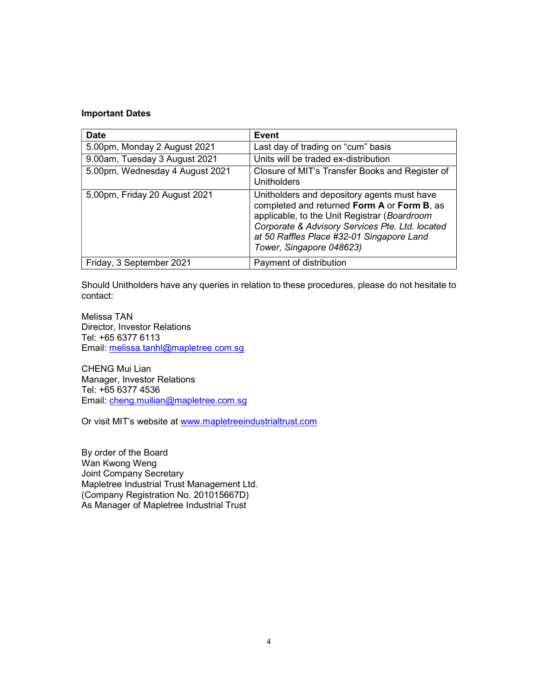### Important Dates

| <b>Date</b>                     | <b>Event</b>                                                                                                                                                                                                                                                           |
|---------------------------------|------------------------------------------------------------------------------------------------------------------------------------------------------------------------------------------------------------------------------------------------------------------------|
| 5.00pm, Monday 2 August 2021    | Last day of trading on "cum" basis                                                                                                                                                                                                                                     |
| 9.00am, Tuesday 3 August 2021   | Units will be traded ex-distribution                                                                                                                                                                                                                                   |
| 5.00pm, Wednesday 4 August 2021 | Closure of MIT's Transfer Books and Register of<br>Unitholders                                                                                                                                                                                                         |
| 5.00pm, Friday 20 August 2021   | Unitholders and depository agents must have<br>completed and returned Form A or Form B, as<br>applicable, to the Unit Registrar (Boardroom<br>Corporate & Advisory Services Pte. Ltd. located<br>at 50 Raffles Place #32-01 Singapore Land<br>Tower, Singapore 048623) |
| Friday, 3 September 2021        | Payment of distribution                                                                                                                                                                                                                                                |

Should Unitholders have any queries in relation to these procedures, please do not hesitate to contact:

Melissa TAN Director, Investor Relations Tel: +65 6377 6113 Email: melissa.tanhl@mapletree.com.sg

CHENG Mui Lian Manager, Investor Relations Tel: +65 6377 4536 Email: cheng.muilian@mapletree.com.sg

Or visit MIT's website at www.mapletreeindustrialtrust.com

By order of the Board Wan Kwong Weng Joint Company Secretary Mapletree Industrial Trust Management Ltd. (Company Registration No. 201015667D) As Manager of Mapletree Industrial Trust